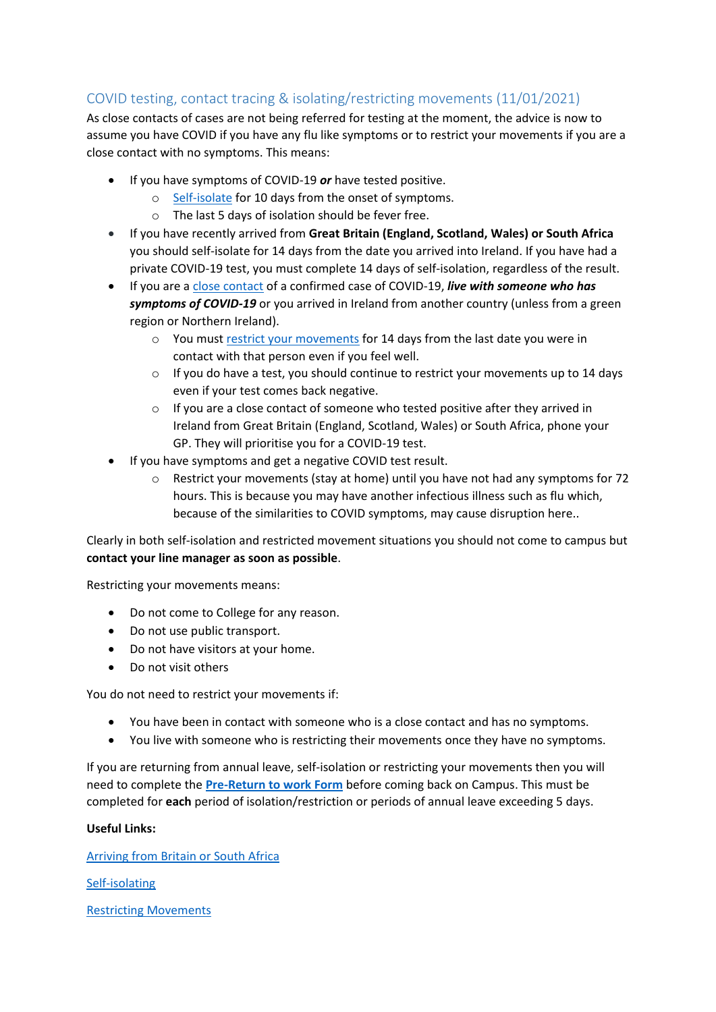## COVID testing, contact tracing & isolating/restricting movements (11/01/2021)

As close contacts of cases are not being referred for testing at the moment, the advice is now to assume you have COVID if you have any flu like symptoms or to restrict your movements if you are a close contact with no symptoms. This means:

- If you have symptoms of COVID-19 *or* have tested positive.
	- o [Self-isolate](https://www2.hse.ie/conditions/coronavirus/self-isolation/how-to-self-isolate.html) for 10 days from the onset of symptoms.
	- o The last 5 days of isolation should be fever free.
- If you have recently arrived from **Great Britain (England, Scotland, Wales) or South Africa** you should [self-isolate f](https://www2.hse.ie/conditions/coronavirus/self-isolation/how-to-self-isolate.html)or 14 days from the date you arrived into Ireland. If you have had a private COVID-19 test, you must complete 14 days of self-isolation, regardless of the result.
- If you are a [close contact](https://www2.hse.ie/conditions/coronavirus/close-contact-and-casual-contact.html) of a confirmed case of COVID-19, *live with someone who has symptoms of COVID-19* or you arrived in Ireland from another country (unless from a green region or Northern Ireland).
	- $\circ$  You must [restrict your movements](https://www2.hse.ie/conditions/coronavirus/managing-coronavirus-at-home/if-you-live-with-someone-who-has-coronavirus.html#restrict) for 14 days from the last date you were in contact with that person even if you feel well.
	- $\circ$  If you do have a test, you should continue to restrict your movements up to 14 days even if your test comes back negative.
	- o If you are a close contact of someone who tested positive after they arrived in Ireland from Great Britain (England, Scotland, Wales) or South Africa, phone your GP. They will prioritise you for a COVID-19 test.
- If you have symptoms and get a negative COVID test result.
	- $\circ$  Restrict your movements (stay at home) until you have not had any symptoms for 72 hours. This is because you may have another infectious illness such as flu which, because of the similarities to COVID symptoms, may cause disruption here..

Clearly in both self-isolation and restricted movement situations you should not come to campus but **contact your line manager as soon as possible**.

Restricting your movements means:

- Do not come to College for any reason.
- Do not use public transport.
- Do not have visitors at your home.
- Do not visit others

You do not need to restrict your movements if:

- You have been in contact with someone who is a close contact and has no symptoms.
- You live with someone who is restricting their movements once they have no symptoms.

If you are returning from annual leave, self-isolation or restricting your movements then you will need to complete the **[Pre-Return to work Form](https://forms.office.com/Pages/ResponsePage.aspx?id=jb6V1Qaz9EWAZJ5bgvvlK19u_W5M1mtBkhX1Ju57x2VUQlVWS0wzWjRMS1FCVjFCTkhZQ0dYWFg2NC4u)** before coming back on Campus. This must be completed for **each** period of isolation/restriction or periods of annual leave exceeding 5 days.

## **Useful Links:**

[Arriving from Britain or South Africa](https://www2.hse.ie/conditions/coronavirus/recently-arrived-into-ireland-from-britain.html)

[Self-isolating](https://www2.hse.ie/conditions/coronavirus/test-results/if-you-test-positive-for-covid-19.html)

[Restricting Movements](https://www2.hse.ie/conditions/coronavirus/managing-coronavirus-at-home/if-you-live-with-someone-who-has-coronavirus.html)